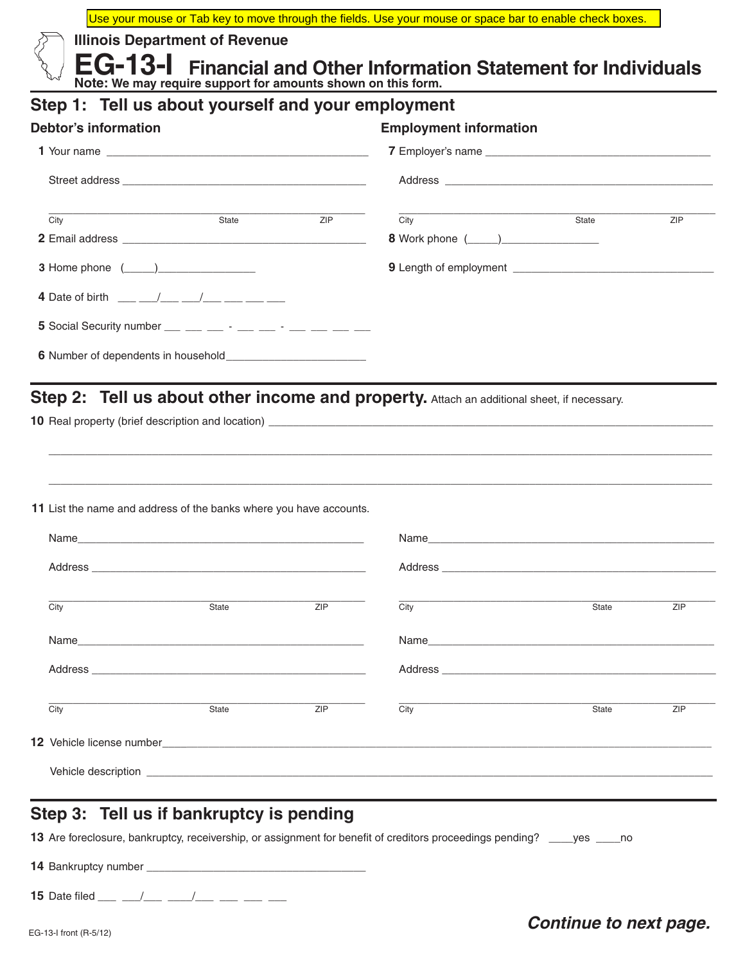Use your mouse or Tab key to move through the fields. Use your mouse or space bar to enable check boxes.

**Illinois Department of Revenue**

**EG-13-I Financial and Other Information Statement for Individuals Note: We may require support for amounts shown on this form.** 

# **Step 1: Tell us about yourself and your employment**

| <b>Debtor's information</b>                                                                                                                                                                                                                                                                                       |       |            | <b>Employment information</b> |       |            |  |  |  |
|-------------------------------------------------------------------------------------------------------------------------------------------------------------------------------------------------------------------------------------------------------------------------------------------------------------------|-------|------------|-------------------------------|-------|------------|--|--|--|
|                                                                                                                                                                                                                                                                                                                   |       |            |                               |       |            |  |  |  |
|                                                                                                                                                                                                                                                                                                                   |       |            |                               |       |            |  |  |  |
| City                                                                                                                                                                                                                                                                                                              | State | <b>ZIP</b> | City                          | State | <b>ZIP</b> |  |  |  |
|                                                                                                                                                                                                                                                                                                                   |       |            |                               |       |            |  |  |  |
| <b>3</b> Home phone $(\_\_)$                                                                                                                                                                                                                                                                                      |       |            |                               |       |            |  |  |  |
| 4 Date of birth $\frac{1}{2}$ $\frac{1}{2}$ $\frac{1}{2}$ $\frac{1}{2}$ $\frac{1}{2}$ $\frac{1}{2}$ $\frac{1}{2}$ $\frac{1}{2}$ $\frac{1}{2}$ $\frac{1}{2}$ $\frac{1}{2}$ $\frac{1}{2}$ $\frac{1}{2}$ $\frac{1}{2}$ $\frac{1}{2}$ $\frac{1}{2}$ $\frac{1}{2}$ $\frac{1}{2}$ $\frac{1}{2}$ $\frac{1}{2}$ $\frac{1$ |       |            |                               |       |            |  |  |  |
| 5 Social Security number $\_\_$ $\_\_$ $\_\_$ $\_\_$ $\_\_$ $\_\_$ $\_\_$                                                                                                                                                                                                                                         |       |            |                               |       |            |  |  |  |
|                                                                                                                                                                                                                                                                                                                   |       |            |                               |       |            |  |  |  |

## Step 2: Tell us about other income and property. Attach an additional sheet, if necessary.

**10** Real property (brief description and location) \_

**11** List the name and address of the banks where you have accounts.

| City | State | ZIP | City                                                                                                                                                                                                                                             | <b>ZIP</b><br>State |  |
|------|-------|-----|--------------------------------------------------------------------------------------------------------------------------------------------------------------------------------------------------------------------------------------------------|---------------------|--|
|      |       |     | Name                                                                                                                                                                                                                                             |                     |  |
|      |       |     |                                                                                                                                                                                                                                                  |                     |  |
| City | State | ZIP | City                                                                                                                                                                                                                                             | ZIP<br>State        |  |
|      |       |     |                                                                                                                                                                                                                                                  |                     |  |
|      |       |     | Vehicle description<br>expression<br>Service description<br>Service description<br>Service description<br>Service description<br>Service description<br>Service description<br>Service description<br>Service de Service de Service de Service d |                     |  |

\_\_\_\_\_\_\_\_\_\_\_\_\_\_\_\_\_\_\_\_\_\_\_\_\_\_\_\_\_\_\_\_\_\_\_\_\_\_\_\_\_\_\_\_\_\_\_\_\_\_\_\_\_\_\_\_\_\_\_\_\_\_\_\_\_\_\_\_\_\_\_\_\_\_\_\_\_\_\_\_\_\_\_\_\_\_\_\_\_\_\_\_\_\_\_\_\_\_\_\_\_\_\_\_\_\_\_\_\_

\_\_\_\_\_\_\_\_\_\_\_\_\_\_\_\_\_\_\_\_\_\_\_\_\_\_\_\_\_\_\_\_\_\_\_\_\_\_\_\_\_\_\_\_\_\_\_\_\_\_\_\_\_\_\_\_\_\_\_\_\_\_\_\_\_\_\_\_\_\_\_\_\_\_\_\_\_\_\_\_\_\_\_\_\_\_\_\_\_\_\_\_\_\_\_\_\_\_\_\_\_\_\_\_\_\_\_\_\_

#### **Step 3: Tell us if bankruptcy is pending**

**13** Are foreclosure, bankruptcy, receivership, or assignment for benefit of creditors proceedings pending? \_\_\_\_yes \_\_\_\_no

**14** Bankruptcy number \_\_\_\_\_\_\_\_\_\_\_\_\_\_\_\_\_\_\_\_\_\_\_\_\_\_\_\_\_\_\_\_\_\_\_\_

**15** Date filed \_\_\_ \_\_/\_\_\_ \_\_\_/\_\_\_ \_\_\_ \_\_\_ \_\_\_

#### **Continue to next page.**<br> **Continue to next page.**